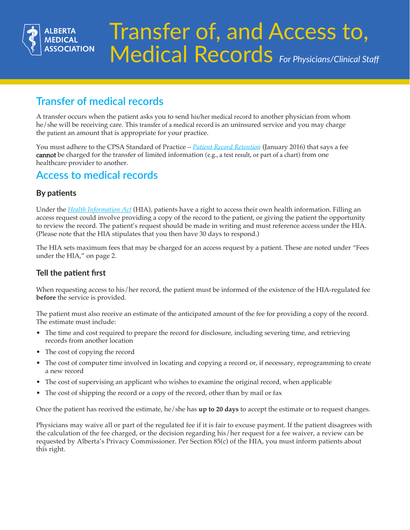

# Transfer of, and Access to, Medical Records *For Physicians/Clinical Staff*

# **Transfer of medical records**

A transfer occurs when the patient asks you to send his/her medical record to another physician from whom he/she will be receiving care. This transfer of a medical record is an uninsured service and you may charge the patient an amount that is appropriate for your practice.

[You must adhere to the CPSA Standard of Practice –](http://www.cpsa.ca/standardspractice/patient-record-retent/) *Patient Record Retention* (January 2016) that says a fee cannot be charged for the transfer of limited information (e.g., a test result, or part of a chart) from one healthcare provider to another.

## **Access to medical records**

## **By patients**

Under the *Health Information Act* (HIA), patients have a right to access their own health information. Filling an access request could involve providing a copy of the record to the patient, or giving the patient the opportunity [to review the record. The patient's request should be made in writing and must reference access under the HIA.](http://www.health.alberta.ca/about/Health-Information-Act.html)  (Please note that the HIA stipulates that you then have 30 days to respond.)

The HIA sets maximum fees that may be charged for an access request by a patient. These are noted under "Fees under the HIA," on page 2.

## **Tell the patient first**

When requesting access to his/her record, the patient must be informed of the existence of the HIA-regulated fee **before** the service is provided.

The patient must also receive an estimate of the anticipated amount of the fee for providing a copy of the record. The estimate must include:

- The time and cost required to prepare the record for disclosure, including severing time, and retrieving records from another location
- The cost of copying the record
- The cost of computer time involved in locating and copying a record or, if necessary, reprogramming to create a new record
- The cost of supervising an applicant who wishes to examine the original record, when applicable
- The cost of shipping the record or a copy of the record, other than by mail or fax

Once the patient has received the estimate, he/she has **up to 20 days** to accept the estimate or to request changes.

Physicians may waive all or part of the regulated fee if it is fair to excuse payment. If the patient disagrees with the calculation of the fee charged, or the decision regarding his/her request for a fee waiver, a review can be requested by Alberta's Privacy Commissioner. Per Section 85(c) of the HIA, you must inform patients about this right.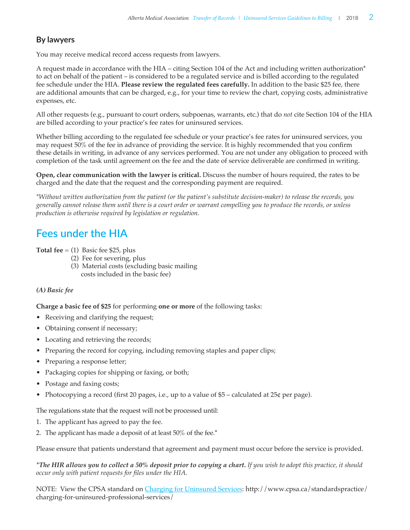## **By lawyers**

You may receive medical record access requests from lawyers.

A request made in accordance with the HIA – citing Section 104 of the Act and including written authorization\* to act on behalf of the patient – is considered to be a regulated service and is billed according to the regulated fee schedule under the HIA. **Please review the regulated fees carefully.** In addition to the basic \$25 fee, there are additional amounts that can be charged, e.g., for your time to review the chart, copying costs, administrative expenses, etc.

All other requests (e.g., pursuant to court orders, subpoenas, warrants, etc.) that do *not* cite Section 104 of the HIA are billed according to your practice's fee rates for uninsured services.

Whether billing according to the regulated fee schedule or your practice's fee rates for uninsured services, you may request 50% of the fee in advance of providing the service. It is highly recommended that you confirm these details in writing, in advance of any services performed. You are not under any obligation to proceed with completion of the task until agreement on the fee and the date of service deliverable are confirmed in writing.

**Open, clear communication with the lawyer is critical.** Discuss the number of hours required, the rates to be charged and the date that the request and the corresponding payment are required.

*\*Without written authorization from the patient (or the patient's substitute decision-maker) to release the records, you generally cannot release them until there is a court order or warrant compelling you to produce the records, or unless production is otherwise required by legislation or regulation.*

# **Fees under the HIA**

**Total fee**  $= (1)$  Basic fee \$25, plus

- (2) Fee for severing, plus
- (3) Material costs (excluding basic mailing costs included in the basic fee)

### *(A) Basic fee*

**Charge a basic fee of \$25** for performing **one or more** of the following tasks:

- Receiving and clarifying the request;
- Obtaining consent if necessary;
- Locating and retrieving the records;
- Preparing the record for copying, including removing staples and paper clips;
- Preparing a response letter;
- Packaging copies for shipping or faxing, or both;
- Postage and faxing costs;
- Photocopying a record (first 20 pages, i.e., up to a value of  $$5$  calculated at 25¢ per page).

The regulations state that the request will not be processed until:

- 1. The applicant has agreed to pay the fee.
- 2. The applicant has made a deposit of at least 50% of the fee.\*

Please ensure that patients understand that agreement and payment must occur before the service is provided.

*\*The HIR allows you to collect a 50% deposit prior to copying a chart. If you wish to adopt this practice, it should occur only with patient requests for files under the HIA.* 

NOTE: View the CPSA standard on [Charging for Uninsured Services: http://www.cpsa.ca/standardspractice/](http://www.cpsa.ca/standardspractice/charging-for-uninsured-professional-services/) charging-for-uninsured-professional-services/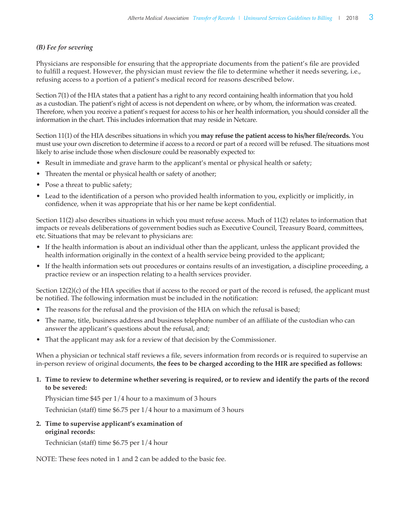#### *(B) Fee for severing*

Physicians are responsible for ensuring that the appropriate documents from the patient's file are provided to fulfill a request. However, the physician must review the file to determine whether it needs severing, i.e., refusing access to a portion of a patient's medical record for reasons described below.

Section 7(1) of the HIA states that a patient has a right to any record containing health information that you hold as a custodian. The patient's right of access is not dependent on where, or by whom, the information was created. Therefore, when you receive a patient's request for access to his or her health information, you should consider all the information in the chart. This includes information that may reside in Netcare.

Section 11(1) of the HIA describes situations in which you **may refuse the patient access to his/her file/records.** You must use your own discretion to determine if access to a record or part of a record will be refused. The situations most likely to arise include those when disclosure could be reasonably expected to:

- Result in immediate and grave harm to the applicant's mental or physical health or safety;
- Threaten the mental or physical health or safety of another;
- Pose a threat to public safety;
- Lead to the identification of a person who provided health information to you, explicitly or implicitly, in confidence, when it was appropriate that his or her name be kept confidential.

Section 11(2) also describes situations in which you must refuse access. Much of 11(2) relates to information that impacts or reveals deliberations of government bodies such as Executive Council, Treasury Board, committees, etc. Situations that may be relevant to physicians are:

- If the health information is about an individual other than the applicant, unless the applicant provided the health information originally in the context of a health service being provided to the applicant;
- • If the health information sets out procedures or contains results of an investigation, a discipline proceeding, a practice review or an inspection relating to a health services provider.

Section 12(2)(c) of the HIA specifies that if access to the record or part of the record is refused, the applicant must be notified. The following information must be included in the notification:

- The reasons for the refusal and the provision of the HIA on which the refusal is based;
- The name, title, business address and business telephone number of an affiliate of the custodian who can answer the applicant's questions about the refusal, and;
- That the applicant may ask for a review of that decision by the Commissioner.

When a physician or technical staff reviews a file, severs information from records or is required to supervise an in-person review of original documents, **the fees to be charged according to the HIR are specified as follows:** 

#### **1. Time to review to determine whether severing is required, or to review and identify the parts of the record to be severed:**

Physician time \$45 per 1/4 hour to a maximum of 3 hours

Technician (staff) time \$6.75 per 1/4 hour to a maximum of 3 hours

**2. Time to supervise applicant's examination of original records:**

Technician (staff) time \$6.75 per 1/4 hour

NOTE: These fees noted in 1 and 2 can be added to the basic fee.